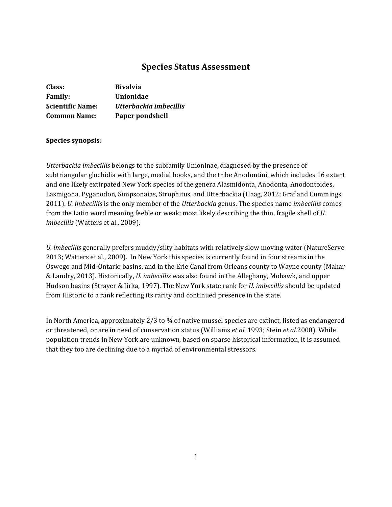# **Species Status Assessment**

| Class:                  | <b>Bivalvia</b>        |
|-------------------------|------------------------|
| <b>Family:</b>          | Unionidae              |
| <b>Scientific Name:</b> | Utterbackia imbecillis |
| <b>Common Name:</b>     | Paper pondshell        |

### **Species synopsis**:

*Utterbackia imbecillis* belongs to the subfamily Unioninae, diagnosed by the presence of subtriangular glochidia with large, medial hooks, and the tribe Anodontini, which includes 16 extant and one likely extirpated New York species of the genera Alasmidonta, Anodonta, Anodontoides, Lasmigona, Pyganodon, Simpsonaias, Strophitus, and Utterbackia (Haag, 2012; Graf and Cummings, 2011). *U. imbecillis* is the only member of the *Utterbackia* genus. The species name *imbecillis* comes from the Latin word meaning feeble or weak; most likely describing the thin, fragile shell of *U. imbecillis* (Watters et al., 2009).

*U. imbecillis* generally prefers muddy/silty habitats with relatively slow moving water (NatureServe 2013; Watters et al., 2009). In New York this species is currently found in four streams in the Oswego and Mid-Ontario basins, and in the Erie Canal from Orleans county to Wayne county (Mahar & Landry, 2013). Historically, *U. imbecillis* was also found in the Alleghany, Mohawk, and upper Hudson basins (Strayer & Jirka, 1997). The New York state rank for *U. imbecillis* should be updated from Historic to a rank reflecting its rarity and continued presence in the state.

In North America, approximately 2/3 to  $\frac{3}{4}$  of native mussel species are extinct, listed as endangered or threatened, or are in need of conservation status (Williams *et al.* 1993; Stein *et al.*2000). While population trends in New York are unknown, based on sparse historical information, it is assumed that they too are declining due to a myriad of environmental stressors.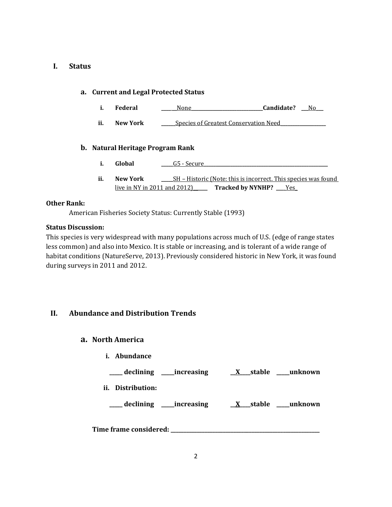### **I. Status**

### **a. Current and Legal Protected Status**

- **i. Federal \_\_\_\_ \_\_**None**\_\_\_\_\_\_\_\_\_\_\_\_\_\_\_\_\_\_\_\_\_\_\_\_\_\_\_\_\_\_Candidate? \_\_\_**No**\_\_\_**
- **ii. New York \_\_\_\_\_\_**Species of Greatest Conservation Need**\_\_\_\_\_\_\_\_\_\_\_\_\_\_\_\_\_\_\_**

### **b. Natural Heritage Program Rank**

- **i. Global 2020 G5** Secure
- **ii. New York \_\_\_\_\_**SH Historic (Note: this is incorrect. This species was found live in NY in 2011 and 2012) **Tracked by NYNHP?** Yes

### **Other Rank:**

American Fisheries Society Status: Currently Stable (1993)

### **Status Discussion:**

This species is very widespread with many populations across much of U.S. (edge of range states less common) and also into Mexico. It is stable or increasing, and is tolerant of a wide range of habitat conditions (NatureServe, 2013). Previously considered historic in New York, it was found during surveys in 2011 and 2012.

## **II. Abundance and Distribution Trends**

### **a. North America**

**i. Abundance**

**\_\_\_\_\_ declining \_\_\_\_\_increasing \_\_X\_\_\_\_stable \_\_\_\_\_unknown**

**ii. Distribution:**

**\_\_\_\_\_ declining \_\_\_\_\_increasing \_\_X\_\_\_\_stable \_\_\_\_\_unknown**

**Time frame considered: \_\_\_\_\_\_\_\_\_\_\_\_\_\_\_\_\_\_\_\_\_\_\_\_\_\_\_\_\_\_\_\_\_\_\_\_\_\_\_\_\_\_\_\_\_\_\_\_\_\_\_\_\_\_\_\_\_**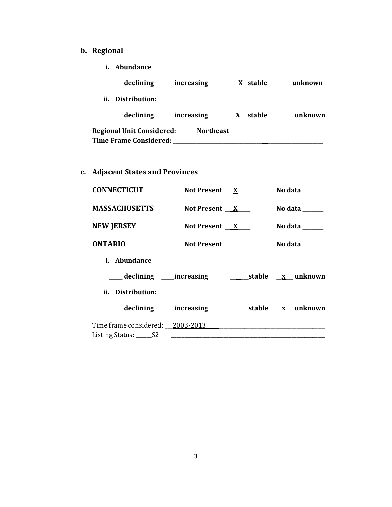- **b. Regional** 
	- **i. Abundance**

| __declining ____increasing          | X stable | unknown                 |
|-------------------------------------|----------|-------------------------|
| Distribution:<br>Ħ.                 |          |                         |
| __declining ____increasing          |          | X stable _______unknown |
| Regional Unit Considered: Northeast |          |                         |
| <b>Time Frame Considered:</b>       |          |                         |

**c. Adjacent States and Provinces**

| <b>CONNECTICUT</b>               | Not Present $X$     | No data $\_\_\_\_\_\_\_\_\_\_\_\_\$        |
|----------------------------------|---------------------|--------------------------------------------|
| <b>MASSACHUSETTS</b>             | Not Present $X$     | No data $\_\_\_\_\_\_\_\_\_\_\_\_\_\_\_\_$ |
| <b>NEW JERSEY</b>                | Not Present $X$     | No data $\_\_\_\_\_\_\_\_\_\_\_\_$         |
| <b>ONTARIO</b>                   | Not Present _______ | No data $\_\_$                             |
| <i>i.</i> Abundance              |                     |                                            |
|                                  |                     |                                            |
| ii. Distribution:                |                     |                                            |
| ____ declining _____increasing   |                     | _______stable ___x___ unknown              |
| Time frame considered: 2003-2013 |                     |                                            |
|                                  |                     |                                            |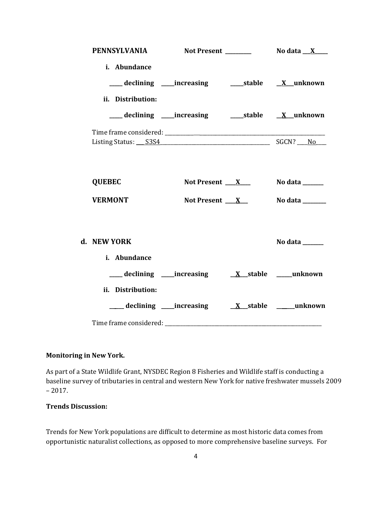| PENNSYLVANIA Not Present ________ No data X___ |                                                           |                 |
|------------------------------------------------|-----------------------------------------------------------|-----------------|
| i. Abundance                                   | ___declining ___increasing ____stable __ X_unknown        |                 |
| ii. Distribution:                              |                                                           |                 |
|                                                | ___ declining ____increasing ______stable _____X__unknown |                 |
|                                                |                                                           |                 |
| <b>QUEBEC</b>                                  | Not Present $X_{-}$                                       | No data _______ |
| <b>VERMONT</b>                                 | Not Present $\mathbf{X}$                                  | No data _______ |
| d. NEW YORK<br>i. Abundance                    |                                                           | No data ______  |
|                                                |                                                           |                 |
| ii. Distribution:                              |                                                           |                 |
|                                                |                                                           |                 |

### **Monitoring in New York.**

As part of a State Wildlife Grant, NYSDEC Region 8 Fisheries and Wildlife staff is conducting a baseline survey of tributaries in central and western New York for native freshwater mussels 2009 – 2017.

## **Trends Discussion:**

Trends for New York populations are difficult to determine as most historic data comes from opportunistic naturalist collections, as opposed to more comprehensive baseline surveys. For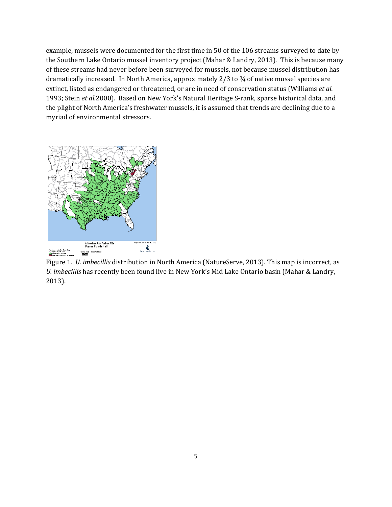example, mussels were documented for the first time in 50 of the 106 streams surveyed to date by the Southern Lake Ontario mussel inventory project (Mahar & Landry, 2013). This is because many of these streams had never before been surveyed for mussels, not because mussel distribution has dramatically increased. In North America, approximately 2/3 to 3⁄4 of native mussel species are extinct, listed as endangered or threatened, or are in need of conservation status (Williams *et al.*  1993; Stein *et al.*2000). Based on New York's Natural Heritage S-rank, sparse historical data, and the plight of North America's freshwater mussels, it is assumed that trends are declining due to a myriad of environmental stressors.



Figure 1. *U. imbecillis* distribution in North America (NatureServe, 2013). This map is incorrect, as *U. imbecillis* has recently been found live in New York's Mid Lake Ontario basin (Mahar & Landry, 2013).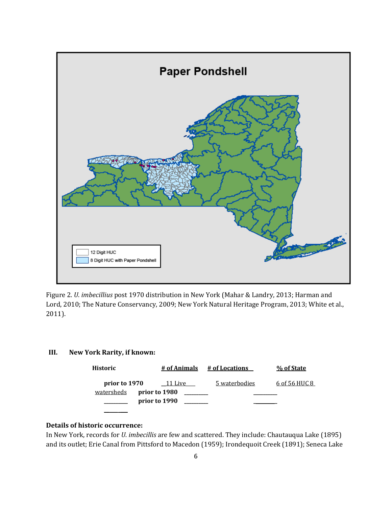

Figure 2. *U. imbecillius* post 1970 distribution in New York (Mahar & Landry, 2013; Harman and Lord, 2010; The Nature Conservancy, 2009; New York Natural Heritage Program, 2013; White et al., 2011).

# **III. New York Rarity, if known:**

| Historic      | # of Animals  | # of Locations | % of State    |
|---------------|---------------|----------------|---------------|
| prior to 1970 | 11 Live       | 5 waterbodies  | 6 of 56 HUC 8 |
| watersheds    | prior to 1980 |                |               |
|               | prior to 1990 |                |               |
|               |               |                |               |

## **Details of historic occurrence:**

In New York, records for *U. imbecillis* are few and scattered. They include: Chautauqua Lake (1895) and its outlet; Erie Canal from Pittsford to Macedon (1959); Irondequoit Creek (1891); Seneca Lake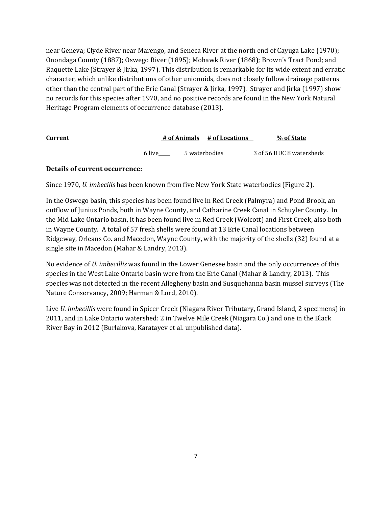near Geneva; Clyde River near Marengo, and Seneca River at the north end of Cayuga Lake (1970); Onondaga County (1887); Oswego River (1895); Mohawk River (1868); Brown's Tract Pond; and Raquette Lake (Strayer & Jirka, 1997). This distribution is remarkable for its wide extent and erratic character, which unlike distributions of other unionoids, does not closely follow drainage patterns other than the central part of the Erie Canal (Strayer & Jirka, 1997). Strayer and Jirka (1997) show no records for this species after 1970, and no positive records are found in the New York Natural Heritage Program elements of occurrence database (2013).

| <b>Current</b> |        |               | # of Animals # of Locations | % of State               |
|----------------|--------|---------------|-----------------------------|--------------------------|
|                | 6 live | 5 waterbodies |                             | 3 of 56 HUC 8 watersheds |

### **Details of current occurrence:**

Since 1970, *U. imbecilis* has been known from five New York State waterbodies (Figure 2).

In the Oswego basin, this species has been found live in Red Creek (Palmyra) and Pond Brook, an outflow of Junius Ponds, both in Wayne County, and Catharine Creek Canal in Schuyler County. In the Mid Lake Ontario basin, it has been found live in Red Creek (Wolcott) and First Creek, also both in Wayne County. A total of 57 fresh shells were found at 13 Erie Canal locations between Ridgeway, Orleans Co. and Macedon, Wayne County, with the majority of the shells (32) found at a single site in Macedon (Mahar & Landry, 2013).

No evidence of *U. imbecillis* was found in the Lower Genesee basin and the only occurrences of this species in the West Lake Ontario basin were from the Erie Canal (Mahar & Landry, 2013). This species was not detected in the recent Allegheny basin and Susquehanna basin mussel surveys (The Nature Conservancy, 2009; Harman & Lord, 2010).

Live *U. imbecillis* were found in Spicer Creek (Niagara River Tributary, Grand Island, 2 specimens) in 2011, and in Lake Ontario watershed: 2 in Twelve Mile Creek (Niagara Co.) and one in the Black River Bay in 2012 (Burlakova, Karatayev et al. unpublished data).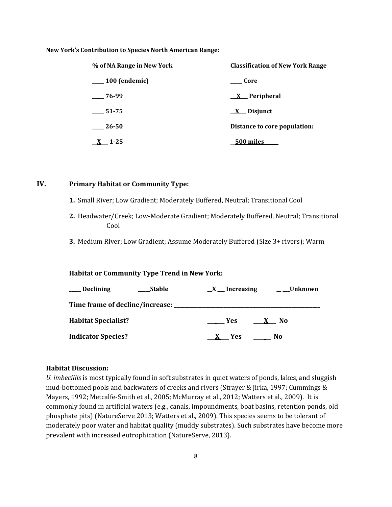#### **New York's Contribution to Species North American Range:**

| % of NA Range in New York | <b>Classification of New York Range</b> |
|---------------------------|-----------------------------------------|
| $\frac{100}{2}$ (endemic) | Core                                    |
| $-76-99$                  | $X$ Peripheral                          |
| 51-75                     | X Disjunct                              |
| 26-50                     | Distance to core population:            |
| $1 - 25$                  | 500 miles                               |

### **IV. Primary Habitat or Community Type:**

- **1.** Small River; Low Gradient; Moderately Buffered, Neutral; Transitional Cool
- **2.** Headwater/Creek; Low-Moderate Gradient; Moderately Buffered, Neutral; Transitional Cool
- **3.** Medium River; Low Gradient; Assume Moderately Buffered (Size 3+ rivers); Warm

#### **Habitat or Community Type Trend in New York:**

| <b>Declining</b>                | <b>Stable</b> | X Increasing | Unknown                        |
|---------------------------------|---------------|--------------|--------------------------------|
| Time frame of decline/increase: |               |              |                                |
| <b>Habitat Specialist?</b>      |               | Yes.         | N <sub>0</sub><br>$\mathbf{X}$ |
| <b>Indicator Species?</b>       |               | X Yes        | No.                            |

#### **Habitat Discussion:**

*U. imbecillis* is most typically found in soft substrates in quiet waters of ponds, lakes, and sluggish mud-bottomed pools and backwaters of creeks and rivers (Strayer & Jirka, 1997; Cummings & Mayers, 1992; Metcalfe-Smith et al., 2005; McMurray et al., 2012; Watters et al., 2009). It is commonly found in artificial waters (e.g., canals, impoundments, boat basins, retention ponds, old phosphate pits) (NatureServe 2013; Watters et al., 2009). This species seems to be tolerant of moderately poor water and habitat quality (muddy substrates). Such substrates have become more prevalent with increased eutrophication (NatureServe, 2013).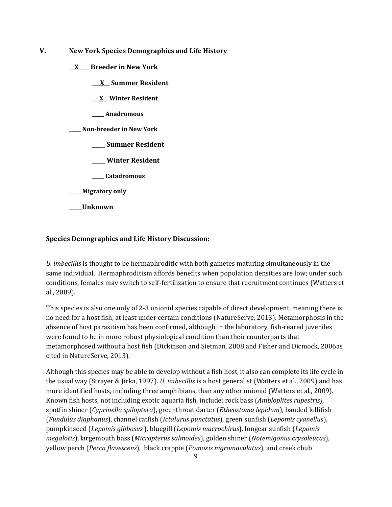- **V. New York Species Demographics and Life History**
	- **\_\_X\_\_\_\_ Breeder in New York**
		- **\_\_\_X\_\_ Summer Resident**
		- **\_\_\_X\_\_ Winter Resident**
		- **\_\_\_\_\_ Anadromous**

**\_\_\_\_\_ Non-breeder in New York**

- **\_\_\_\_\_ Summer Resident**
- **\_\_\_\_\_ Winter Resident**
- **\_\_\_\_\_ Catadromous**
- **\_\_\_\_\_ Migratory only**
- **\_\_\_\_\_Unknown**

### **Species Demographics and Life History Discussion:**

*U. imbecillis* is thought to be hermaphroditic with both gametes maturing simultaneously in the same individual. Hermaphroditism affords benefits when population densities are low; under such conditions, females may switch to self-fertilization to ensure that recruitment continues (Watters et al., 2009).

This species is also one only of 2-3 unionid species capable of direct development, meaning there is no need for a host fish, at least under certain conditions (NatureServe, 2013). Metamorphosis in the absence of host parasitism has been confirmed, although in the laboratory, fish-reared juveniles were found to be in more robust physiological condition than their counterparts that metamorphosed without a host fish (Dickinson and Sietman, 2008 and Fisher and Dicmock, 2006as cited in NatureServe, 2013).

Although this species may be able to develop without a fish host, it also can complete its life cycle in the usual way (Strayer & Jirka, 1997). *U. imbecillis* is a host generalist (Watters et al., 2009) and has more identified hosts, including three amphibians, than any other unionid (Watters et al., 2009). Known fish hosts, not including exotic aquaria fish, include: rock bass (*Ambloplites rupestris)*, spotfin shiner (*Cyprinella spiloptera*), greenthroat darter (*Etheostoma lepidum*), banded killifish (*Fundulus diaphanus*), channel catfish (*Ictalurus punctatus*), green sunfish (*Lepomis cyanellus*), pumpkinseed (*Lepomis gibbosus* ), bluegill (*Lepomis macrochirus*), longear sunfish (*Lepomis megalotis*), largemouth bass (*Micropterus salmoides*), golden shiner (*Notemigonus crysoleucas*), yellow perch (*Perca flavescens*), black crappie (*Pomoxis nigromaculatus*), and creek chub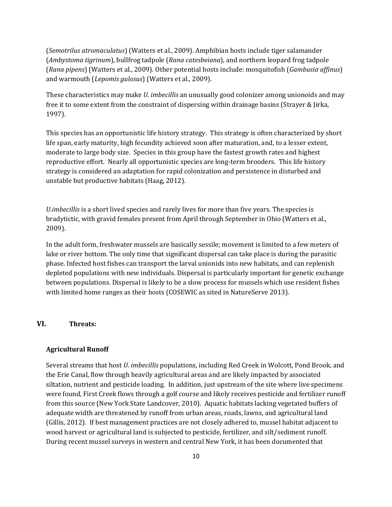(*Semotrilus atromaculatus*) (Watters et al., 2009). Amphibian hosts include tiger salamander (*Ambystoma tigrinum*), bullfrog tadpole (*Rana catesbeiana*), and northern leopard frog tadpole (*Rana pipens*) (Watters et al., 2009). Other potential hosts include: mosquitofish (*Gambusia affinus*) and warmouth (*Lepomis gulosus*) (Watters et al., 2009).

These characteristics may make *U. imbecillis* an unusually good colonizer among unionoids and may free it to some extent from the constraint of dispersing within drainage basins (Strayer & Jirka, 1997).

This species has an opportunistic life history strategy. This strategy is often characterized by short life span, early maturity, high fecundity achieved soon after maturation, and, to a lesser extent, moderate to large body size. Species in this group have the fastest growth rates and highest reproductive effort. Nearly all opportunistic species are long-term brooders. This life history strategy is considered an adaptation for rapid colonization and persistence in disturbed and unstable but productive habitats (Haag, 2012).

*U.imbecillis* is a short lived species and rarely lives for more than five years. The species is bradytictic, with gravid females present from April through September in Ohio (Watters et al., 2009).

In the adult form, freshwater mussels are basically sessile; movement is limited to a few meters of lake or river bottom. The only time that significant dispersal can take place is during the parasitic phase. Infected host fishes can transport the larval unionids into new habitats, and can replenish depleted populations with new individuals. Dispersal is particularly important for genetic exchange between populations. Dispersal is likely to be a slow process for mussels which use resident fishes with limited home ranges as their hosts (COSEWIC as sited in NatureServe 2013).

### **VI. Threats:**

#### **Agricultural Runoff**

Several streams that host *U. imbecillis* populations, including Red Creek in Wolcott, Pond Brook, and the Erie Canal, flow through heavily agricultural areas and are likely impacted by associated siltation, nutrient and pesticide loading. In addition, just upstream of the site where live specimens were found, First Creek flows through a golf course and likely receives pesticide and fertilizer runoff from this source (New York State Landcover, 2010). Aquatic habitats lacking vegetated buffers of adequate width are threatened by runoff from urban areas, roads, lawns, and agricultural land (Gillis, 2012). If best management practices are not closely adhered to, mussel habitat adjacent to wood harvest or agricultural land is subjected to pesticide, fertilizer, and silt/sediment runoff. During recent mussel surveys in western and central New York, it has been documented that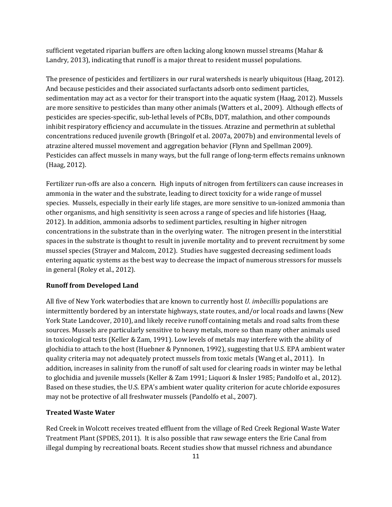sufficient vegetated riparian buffers are often lacking along known mussel streams (Mahar & Landry, 2013), indicating that runoff is a major threat to resident mussel populations.

The presence of pesticides and fertilizers in our rural watersheds is nearly ubiquitous (Haag, 2012). And because pesticides and their associated surfactants adsorb onto sediment particles, sedimentation may act as a vector for their transport into the aquatic system (Haag, 2012). Mussels are more sensitive to pesticides than many other animals (Watters et al., 2009). Although effects of pesticides are species-specific, sub-lethal levels of PCBs, DDT, malathion, and other compounds inhibit respiratory efficiency and accumulate in the tissues. Atrazine and permethrin at sublethal concentrations reduced juvenile growth (Bringolf et al. 2007a, 2007b) and environmental levels of atrazine altered mussel movement and aggregation behavior (Flynn and Spellman 2009). Pesticides can affect mussels in many ways, but the full range of long-term effects remains unknown (Haag, 2012).

Fertilizer run-offs are also a concern. High inputs of nitrogen from fertilizers can cause increases in ammonia in the water and the substrate, leading to direct toxicity for a wide range of mussel species. Mussels, especially in their early life stages, are more sensitive to un-ionized ammonia than other organisms, and high sensitivity is seen across a range of species and life histories (Haag, 2012). In addition, ammonia adsorbs to sediment particles, resulting in higher nitrogen concentrations in the substrate than in the overlying water. The nitrogen present in the interstitial spaces in the substrate is thought to result in juvenile mortality and to prevent recruitment by some mussel species (Strayer and Malcom, 2012). Studies have suggested decreasing sediment loads entering aquatic systems as the best way to decrease the impact of numerous stressors for mussels in general (Roley et al., 2012).

#### **Runoff from Developed Land**

All five of New York waterbodies that are known to currently host *U. imbecillis* populations are intermittently bordered by an interstate highways, state routes, and/or local roads and lawns (New York State Landcover, 2010), and likely receive runoff containing metals and road salts from these sources. Mussels are particularly sensitive to heavy metals, more so than many other animals used in toxicological tests (Keller & Zam, 1991). Low levels of metals may interfere with the ability of glochidia to attach to the host (Huebner & Pynnonen, 1992), suggesting that U.S. EPA ambient water quality criteria may not adequately protect mussels from toxic metals (Wang et al., 2011). In addition, increases in salinity from the runoff of salt used for clearing roads in winter may be lethal to glochidia and juvenile mussels (Keller & Zam 1991; Liquori & Insler 1985; Pandolfo et al., 2012). Based on these studies, the U.S. EPA's ambient water quality criterion for acute chloride exposures may not be protective of all freshwater mussels (Pandolfo et al., 2007).

#### **Treated Waste Water**

Red Creek in Wolcott receives treated effluent from the village of Red Creek Regional Waste Water Treatment Plant (SPDES, 2011). It is also possible that raw sewage enters the Erie Canal from illegal dumping by recreational boats. Recent studies show that mussel richness and abundance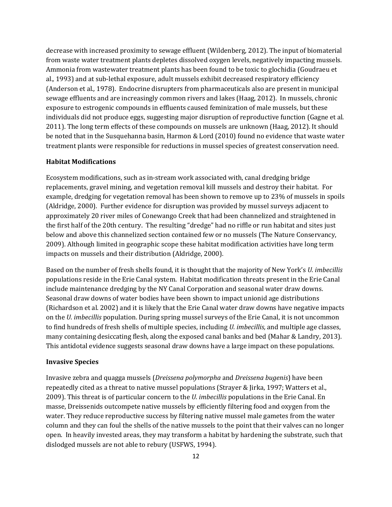decrease with increased proximity to sewage effluent (Wildenberg, 2012). The input of biomaterial from waste water treatment plants depletes dissolved oxygen levels, negatively impacting mussels. Ammonia from wastewater treatment plants has been found to be toxic to glochidia (Goudraeu et al.*,* 1993) and at sub-lethal exposure, adult mussels exhibit decreased respiratory efficiency (Anderson et al*.,* 1978). Endocrine disrupters from pharmaceuticals also are present in municipal sewage effluents and are increasingly common rivers and lakes (Haag, 2012). In mussels, chronic exposure to estrogenic compounds in effluents caused feminization of male mussels, but these individuals did not produce eggs, suggesting major disruption of reproductive function (Gagne et al. 2011). The long term effects of these compounds on mussels are unknown (Haag, 2012). It should be noted that in the Susquehanna basin, Harmon & Lord (2010) found no evidence that waste water treatment plants were responsible for reductions in mussel species of greatest conservation need.

#### **Habitat Modifications**

Ecosystem modifications, such as in-stream work associated with, canal dredging bridge replacements, gravel mining, and vegetation removal kill mussels and destroy their habitat. For example, dredging for vegetation removal has been shown to remove up to 23% of mussels in spoils (Aldridge, 2000). Further evidence for disruption was provided by mussel surveys adjacent to approximately 20 river miles of Conewango Creek that had been channelized and straightened in the first half of the 20th century. The resulting "dredge" had no riffle or run habitat and sites just below and above this channelized section contained few or no mussels (The Nature Conservancy, 2009). Although limited in geographic scope these habitat modification activities have long term impacts on mussels and their distribution (Aldridge, 2000).

Based on the number of fresh shells found, it is thought that the majority of New York's *U. imbecillis* populations reside in the Erie Canal system. Habitat modification threats present in the Erie Canal include maintenance dredging by the NY Canal Corporation and seasonal water draw downs. Seasonal draw downs of water bodies have been shown to impact unionid age distributions (Richardson et al. 2002) and it is likely that the Erie Canal water draw downs have negative impacts on the *U. imbecillis* population. During spring mussel surveys of the Erie Canal, it is not uncommon to find hundreds of fresh shells of multiple species, including *U. imbecillis,* and multiple age classes, many containing desiccating flesh, along the exposed canal banks and bed (Mahar & Landry, 2013). This antidotal evidence suggests seasonal draw downs have a large impact on these populations.

#### **Invasive Species**

Invasive zebra and quagga mussels (*Dreissena polymorpha* and *Dreissena bugenis*) have been repeatedly cited as a threat to native mussel populations (Strayer & Jirka, 1997; Watters et al., 2009). This threat is of particular concern to the *U. imbecillis* populations in the Erie Canal. En masse, Dreissenids outcompete native mussels by efficiently filtering food and oxygen from the water. They reduce reproductive success by filtering native mussel male gametes from the water column and they can foul the shells of the native mussels to the point that their valves can no longer open. In heavily invested areas, they may transform a habitat by hardening the substrate, such that dislodged mussels are not able to rebury (USFWS, 1994).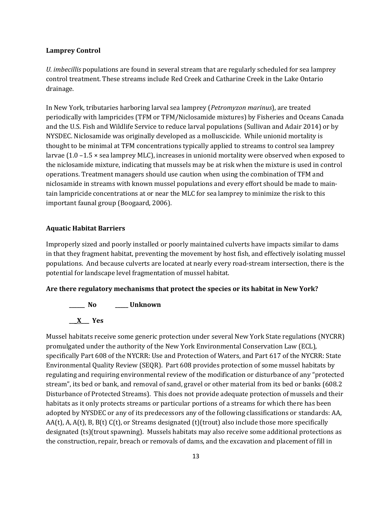#### **Lamprey Control**

*U. imbecillis* populations are found in several stream that are regularly scheduled for sea lamprey control treatment. These streams include Red Creek and Catharine Creek in the Lake Ontario drainage.

In New York, tributaries harboring larval sea lamprey (*Petromyzon marinus*), are treated periodically with lampricides (TFM or TFM/Niclosamide mixtures) by Fisheries and Oceans Canada and the U.S. Fish and Wildlife Service to reduce larval populations (Sullivan and Adair 2014) or by NYSDEC. Niclosamide was originally developed as a molluscicide. While unionid mortality is thought to be minimal at TFM concentrations typically applied to streams to control sea lamprey larvae (1.0 –1.5 × sea lamprey MLC), increases in unionid mortality were observed when exposed to the niclosamide mixture, indicating that mussels may be at risk when the mixture is used in control operations. Treatment managers should use caution when using the combination of TFM and niclosamide in streams with known mussel populations and every effort should be made to maintain lampricide concentrations at or near the MLC for sea lamprey to minimize the risk to this important faunal group (Boogaard, 2006).

#### **Aquatic Habitat Barriers**

Improperly sized and poorly installed or poorly maintained culverts have impacts similar to dams in that they fragment habitat, preventing the movement by host fish, and effectively isolating mussel populations. And because culverts are located at nearly every road-stream intersection, there is the potential for landscape level fragmentation of mussel habitat.

#### **Are there regulatory mechanisms that protect the species or its habitat in New York?**



Mussel habitats receive some generic protection under several New York State regulations (NYCRR) promulgated under the authority of the New York Environmental Conservation Law (ECL), specifically Part 608 of the NYCRR: Use and Protection of Waters, and Part 617 of the NYCRR: State Environmental Quality Review (SEQR). Part 608 provides protection of some mussel habitats by regulating and requiring environmental review of the modification or disturbance of any "protected stream", its bed or bank, and removal of sand, gravel or other material from its bed or banks (608.2 Disturbance of Protected Streams). This does not provide adequate protection of mussels and their habitats as it only protects streams or particular portions of a streams for which there has been adopted by NYSDEC or any of its predecessors any of the following classifications or standards: AA, AA(t), A, A(t), B, B(t) C(t), or Streams designated (t)(trout) also include those more specifically designated (ts)(trout spawning). Mussels habitats may also receive some additional protections as the construction, repair, breach or removals of dams, and the excavation and placement of fill in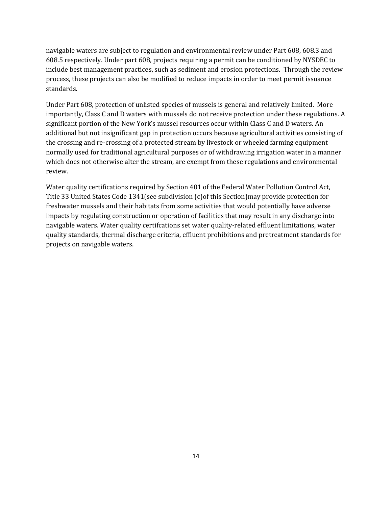navigable waters are subject to regulation and environmental review under Part 608, 608.3 and 608.5 respectively. Under part 608, projects requiring a permit can be conditioned by NYSDEC to include best management practices, such as sediment and erosion protections. Through the review process, these projects can also be modified to reduce impacts in order to meet permit issuance standards.

Under Part 608, protection of unlisted species of mussels is general and relatively limited. More importantly, Class C and D waters with mussels do not receive protection under these regulations. A significant portion of the New York's mussel resources occur within Class C and D waters. An additional but not insignificant gap in protection occurs because agricultural activities consisting of the crossing and re-crossing of a protected stream by livestock or wheeled farming equipment normally used for traditional agricultural purposes or of withdrawing irrigation water in a manner which does not otherwise alter the stream, are exempt from these regulations and environmental review.

Water quality certifications required by Section 401 of the Federal Water Pollution Control Act, Title 33 United States Code 1341(see subdivision (c)of this Section)may provide protection for freshwater mussels and their habitats from some activities that would potentially have adverse impacts by regulating construction or operation of facilities that may result in any discharge into navigable waters. Water quality certifcations set water quality-related effluent limitations, water quality standards, thermal discharge criteria, effluent prohibitions and pretreatment standards for projects on navigable waters.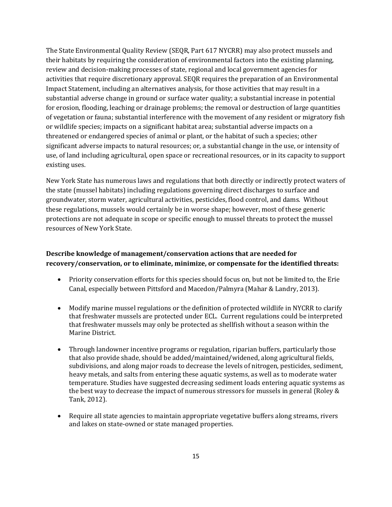The State Environmental Quality Review (SEQR, Part 617 NYCRR) may also protect mussels and their habitats by requiring the consideration of environmental factors into the existing planning, review and decision-making processes of state, regional and local government agencies for activities that require discretionary approval. SEQR requires the preparation of an Environmental Impact Statement, including an alternatives analysis, for those activities that may result in a substantial adverse change in ground or surface water quality; a substantial increase in potential for erosion, flooding, leaching or drainage problems; the removal or destruction of large quantities of vegetation or fauna; substantial interference with the movement of any resident or migratory fish or wildlife species; impacts on a significant habitat area; substantial adverse impacts on a threatened or endangered species of animal or plant, or the habitat of such a species; other significant adverse impacts to natural resources; or, a substantial change in the use, or intensity of use, of land including agricultural, open space or recreational resources, or in its capacity to support existing uses.

New York State has numerous laws and regulations that both directly or indirectly protect waters of the state (mussel habitats) including regulations governing direct discharges to surface and groundwater, storm water, agricultural activities, pesticides, flood control, and dams. Without these regulations, mussels would certainly be in worse shape; however, most of these generic protections are not adequate in scope or specific enough to mussel threats to protect the mussel resources of New York State.

# **Describe knowledge of management/conservation actions that are needed for recovery/conservation, or to eliminate, minimize, or compensate for the identified threats:**

- Priority conservation efforts for this species should focus on, but not be limited to, the Erie Canal, especially between Pittsford and Macedon/Palmyra (Mahar & Landry, 2013).
- Modify marine mussel regulations or the definition of protected wildlife in NYCRR to clarify that freshwater mussels are protected under ECL. Current regulations could be interpreted that freshwater mussels may only be protected as shellfish without a season within the Marine District.
- Through landowner incentive programs or regulation, riparian buffers, particularly those that also provide shade, should be added/maintained/widened, along agricultural fields, subdivisions, and along major roads to decrease the levels of nitrogen, pesticides, sediment, heavy metals, and salts from entering these aquatic systems, as well as to moderate water temperature. Studies have suggested decreasing sediment loads entering aquatic systems as the best way to decrease the impact of numerous stressors for mussels in general (Roley & Tank, 2012).
- Require all state agencies to maintain appropriate vegetative buffers along streams, rivers and lakes on state-owned or state managed properties.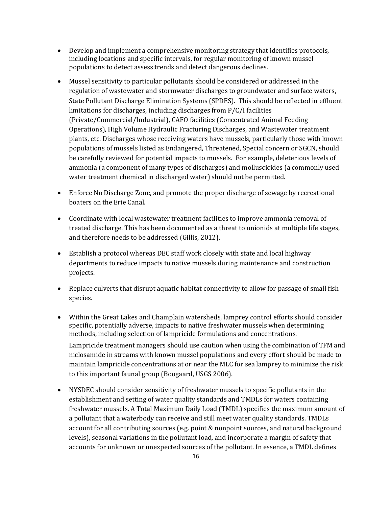- Develop and implement a comprehensive monitoring strategy that identifies protocols, including locations and specific intervals, for regular monitoring of known mussel populations to detect assess trends and detect dangerous declines.
- Mussel sensitivity to particular pollutants should be considered or addressed in the regulation of wastewater and stormwater discharges to groundwater and surface waters, State Pollutant Discharge Elimination Systems (SPDES). This should be reflected in effluent limitations for discharges, including discharges from P/C/I facilities (Private/Commercial/Industrial), CAFO facilities (Concentrated Animal Feeding Operations), High Volume Hydraulic Fracturing Discharges, and Wastewater treatment plants, etc. Discharges whose receiving waters have mussels, particularly those with known populations of mussels listed as Endangered, Threatened, Special concern or SGCN, should be carefully reviewed for potential impacts to mussels. For example, deleterious levels of ammonia (a component of many types of discharges) and molluscicides (a commonly used water treatment chemical in discharged water) should not be permitted.
- Enforce No Discharge Zone, and promote the proper discharge of sewage by recreational boaters on the Erie Canal.
- Coordinate with local wastewater treatment facilities to improve ammonia removal of treated discharge. This has been documented as a threat to unionids at multiple life stages, and therefore needs to be addressed (Gillis, 2012).
- Establish a protocol whereas DEC staff work closely with state and local highway departments to reduce impacts to native mussels during maintenance and construction projects.
- Replace culverts that disrupt aquatic habitat connectivity to allow for passage of small fish species.
- Within the Great Lakes and Champlain watersheds, lamprey control efforts should consider specific, potentially adverse, impacts to native freshwater mussels when determining methods, including selection of lampricide formulations and concentrations.

Lampricide treatment managers should use caution when using the combination of TFM and niclosamide in streams with known mussel populations and every effort should be made to maintain lampricide concentrations at or near the MLC for sea lamprey to minimize the risk to this important faunal group (Boogaard, USGS 2006).

• NYSDEC should consider sensitivity of freshwater mussels to specific pollutants in the establishment and setting of water quality standards and TMDLs for waters containing freshwater mussels. A Total Maximum Daily Load (TMDL) specifies the maximum amount of a pollutant that a waterbody can receive and still meet water quality standards. TMDLs account for all contributing sources (e.g. point & nonpoint sources, and natural background levels), seasonal variations in the pollutant load, and incorporate a margin of safety that accounts for unknown or unexpected sources of the pollutant. In essence, a TMDL defines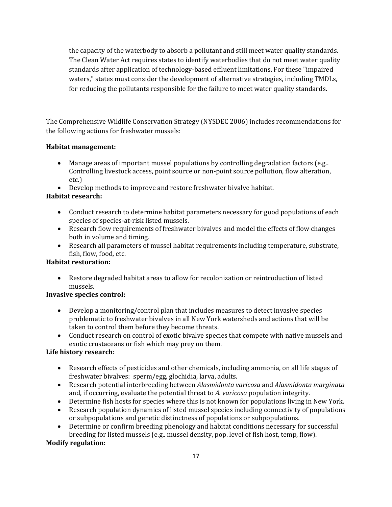the capacity of the waterbody to absorb a pollutant and still meet water quality standards. The Clean Water Act requires states to identify waterbodies that do not meet water quality standards after application of technology-based effluent limitations. For these "impaired waters," states must consider the development of alternative strategies, including TMDLs, for reducing the pollutants responsible for the failure to meet water quality standards.

The Comprehensive Wildlife Conservation Strategy (NYSDEC 2006) includes recommendations for the following actions for freshwater mussels:

### **Habitat management:**

- Manage areas of important mussel populations by controlling degradation factors (e.g.. Controlling livestock access, point source or non-point source pollution, flow alteration, etc.)
- Develop methods to improve and restore freshwater bivalve habitat.

## **Habitat research:**

- Conduct research to determine habitat parameters necessary for good populations of each species of species-at-risk listed mussels.
- Research flow requirements of freshwater bivalves and model the effects of flow changes both in volume and timing.
- Research all parameters of mussel habitat requirements including temperature, substrate, fish, flow, food, etc.

# **Habitat restoration:**

• Restore degraded habitat areas to allow for recolonization or reintroduction of listed mussels.

## **Invasive species control:**

- Develop a monitoring/control plan that includes measures to detect invasive species problematic to freshwater bivalves in all New York watersheds and actions that will be taken to control them before they become threats.
- Conduct research on control of exotic bivalve species that compete with native mussels and exotic crustaceans or fish which may prey on them.

## **Life history research:**

- Research effects of pesticides and other chemicals, including ammonia, on all life stages of freshwater bivalves: sperm/egg, glochidia, larva, adults.
- Research potential interbreeding between *Alasmidonta varicosa* and *Alasmidonta marginata* and, if occurring, evaluate the potential threat to *A. varicosa* population integrity.
- Determine fish hosts for species where this is not known for populations living in New York.
- Research population dynamics of listed mussel species including connectivity of populations or subpopulations and genetic distinctness of populations or subpopulations.
- Determine or confirm breeding phenology and habitat conditions necessary for successful breeding for listed mussels (e.g.. mussel density, pop. level of fish host, temp, flow).

## **Modify regulation:**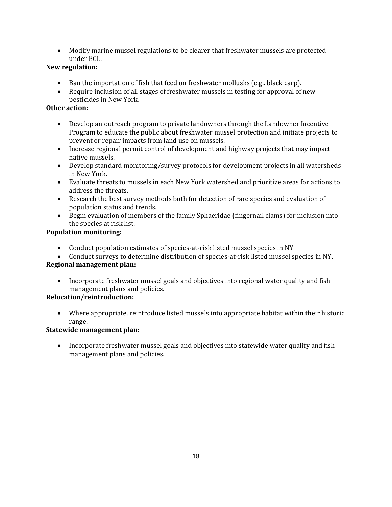• Modify marine mussel regulations to be clearer that freshwater mussels are protected under ECL.

# **New regulation:**

- Ban the importation of fish that feed on freshwater mollusks (e.g., black carp).
- Require inclusion of all stages of freshwater mussels in testing for approval of new pesticides in New York*.*

## **Other action:**

- Develop an outreach program to private landowners through the Landowner Incentive Program to educate the public about freshwater mussel protection and initiate projects to prevent or repair impacts from land use on mussels.
- Increase regional permit control of development and highway projects that may impact native mussels.
- Develop standard monitoring/survey protocols for development projects in all watersheds in New York.
- Evaluate threats to mussels in each New York watershed and prioritize areas for actions to address the threats.
- Research the best survey methods both for detection of rare species and evaluation of population status and trends.
- Begin evaluation of members of the family Sphaeridae (fingernail clams) for inclusion into the species at risk list.

# **Population monitoring:**

- Conduct population estimates of species-at-risk listed mussel species in NY
- Conduct surveys to determine distribution of species-at-risk listed mussel species in NY.

## **Regional management plan:**

• Incorporate freshwater mussel goals and objectives into regional water quality and fish management plans and policies.

## **Relocation/reintroduction:**

• Where appropriate, reintroduce listed mussels into appropriate habitat within their historic range.

# **Statewide management plan:**

• Incorporate freshwater mussel goals and objectives into statewide water quality and fish management plans and policies.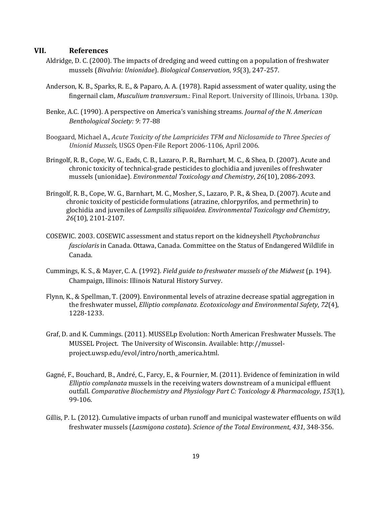#### **VII. References**

- Aldridge, D. C. (2000). The impacts of dredging and weed cutting on a population of freshwater mussels (*Bivalvia: Unionidae*). *Biological Conservation*, *95*(3), 247-257.
- Anderson, K. B., Sparks, R. E., & Paparo, A. A. (1978). Rapid assessment of water quality, using the fingernail clam, *Musculium transversum*.: Final Report. University of Illinois, Urbana. 130p.
- Benke, A.C. (1990). A perspective on America's vanishing streams. *Journal of the N. American Benthological Society: 9*: 77-88
- Boogaard, Michael A., *Acute Toxicity of the Lampricides TFM and Niclosamide to Three Species of Unionid Mussels,* USGS Open-File Report 2006-1106, April 2006.
- Bringolf, R. B., Cope, W. G., Eads, C. B., Lazaro, P. R., Barnhart, M. C., & Shea, D. (2007). Acute and chronic toxicity of technical‐grade pesticides to glochidia and juveniles of freshwater mussels (unionidae). *Environmental Toxicology and Chemistry*, *26*(10), 2086-2093.
- Bringolf, R. B., Cope, W. G., Barnhart, M. C., Mosher, S., Lazaro, P. R., & Shea, D. (2007). Acute and chronic toxicity of pesticide formulations (atrazine, chlorpyrifos, and permethrin) to glochidia and juveniles of *Lampsilis siliquoidea*. *Environmental Toxicology and Chemistry*, *26*(10), 2101-2107.
- COSEWIC. 2003. COSEWIC assessment and status report on the kidneyshell *Ptychobranchus fasciolaris* in Canada. Ottawa, Canada. Committee on the Status of Endangered Wildlife in Canada.
- Cummings, K. S., & Mayer, C. A. (1992). *Field guide to freshwater mussels of the Midwest* (p. 194). Champaign, Illinois: Illinois Natural History Survey.
- Flynn, K., & Spellman, T. (2009). Environmental levels of atrazine decrease spatial aggregation in the freshwater mussel, *Elliptio complanata*. *Ecotoxicology and Environmental Safety*, *72*(4), 1228-1233.
- Graf, D. and K. Cummings. (2011). MUSSELp Evolution: North American Freshwater Mussels. The MUSSEL Project. The University of Wisconsin. Available: [http://mussel](http://mussel-project.uwsp.edu/evol/intro/north_america.html)[project.uwsp.edu/evol/intro/north\\_america.html.](http://mussel-project.uwsp.edu/evol/intro/north_america.html)
- Gagné, F., Bouchard, B., André, C., Farcy, E., & Fournier, M. (2011). Evidence of feminization in wild *Elliptio complanata* mussels in the receiving waters downstream of a municipal effluent outfall. *Comparative Biochemistry and Physiology Part C: Toxicology & Pharmacology*, *153*(1), 99-106.
- Gillis, P. L. (2012). Cumulative impacts of urban runoff and municipal wastewater effluents on wild freshwater mussels (*Lasmigona costata*). *Science of the Total Environment*, *431*, 348-356.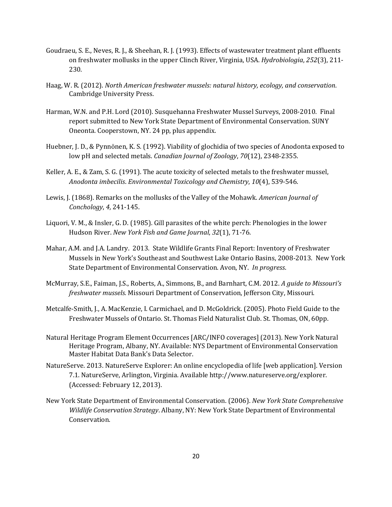- Goudraeu, S. E., Neves, R. J., & Sheehan, R. J. (1993). Effects of wastewater treatment plant effluents on freshwater mollusks in the upper Clinch River, Virginia, USA. *Hydrobiologia*, *252*(3), 211- 230.
- Haag, W. R. (2012). *North American freshwater mussels: natural history, ecology, and conservation*. Cambridge University Press.
- Harman, W.N. and P.H. Lord (2010). Susquehanna Freshwater Mussel Surveys, 2008-2010. Final report submitted to New York State Department of Environmental Conservation. SUNY Oneonta. Cooperstown, NY. 24 pp, plus appendix.
- Huebner, J. D., & Pynnönen, K. S. (1992). Viability of glochidia of two species of Anodonta exposed to low pH and selected metals. *Canadian Journal of Zoology*, *70*(12), 2348-2355.
- Keller, A. E., & Zam, S. G. (1991). The acute toxicity of selected metals to the freshwater mussel, *Anodonta imbecilis*. *Environmental Toxicology and Chemistry*, *10*(4), 539-546.
- Lewis, J. (1868). Remarks on the mollusks of the Valley of the Mohawk. *American Journal of Conchology*, *4*, 241-145.
- Liquori, V. M., & Insler, G. D. (1985). Gill parasites of the white perch: Phenologies in the lower Hudson River. *New York Fish and Game Journal*, *32*(1), 71-76.
- Mahar, A.M. and J.A. Landry. 2013. State Wildlife Grants Final Report: Inventory of Freshwater Mussels in New York's Southeast and Southwest Lake Ontario Basins, 2008-2013. New York State Department of Environmental Conservation. Avon, NY. *In progress*.
- McMurray, S.E., Faiman, J.S., Roberts, A., Simmons, B., and Barnhart, C.M. 2012. *A guide to Missouri's freshwater mussels.* Missouri Department of Conservation, Jefferson City, Missouri.
- Metcalfe-Smith, J., A. MacKenzie, I. Carmichael, and D. McGoldrick. (2005). Photo Field Guide to the Freshwater Mussels of Ontario. St. Thomas Field Naturalist Club. St. Thomas, ON, 60pp.
- Natural Heritage Program Element Occurrences [ARC/INFO coverages] (2013). New York Natural Heritage Program, Albany, NY. Available: NYS Department of Environmental Conservation Master Habitat Data Bank's Data Selector.
- NatureServe. 2013. NatureServe Explorer: An online encyclopedia of life [web application]. Version 7.1. NatureServe, Arlington, Virginia. Available http://www.natureserve.org/explorer. (Accessed: February 12, 2013).
- New York State Department of Environmental Conservation. (2006). *New York State Comprehensive Wildlife Conservation Strategy*. Albany, NY: New York State Department of Environmental Conservation.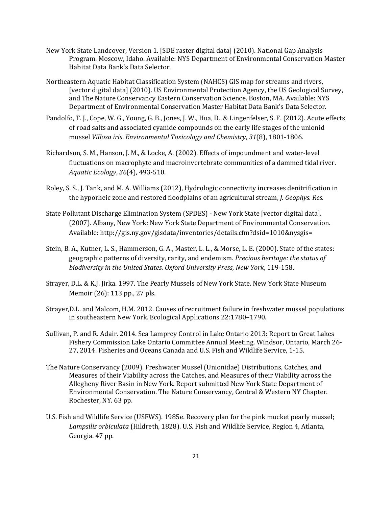- New York State Landcover, Version 1. [SDE raster digital data] (2010). National Gap Analysis Program. Moscow, Idaho. Available: NYS Department of Environmental Conservation Master Habitat Data Bank's Data Selector.
- Northeastern Aquatic Habitat Classification System (NAHCS) GIS map for streams and rivers, [vector digital data] (2010). US Environmental Protection Agency, the US Geological Survey, and The Nature Conservancy Eastern Conservation Science. Boston, MA. Available: NYS Department of Environmental Conservation Master Habitat Data Bank's Data Selector.
- Pandolfo, T. J., Cope, W. G., Young, G. B., Jones, J. W., Hua, D., & Lingenfelser, S. F. (2012). Acute effects of road salts and associated cyanide compounds on the early life stages of the unionid mussel *Villosa iris*. *Environmental Toxicology and Chemistry*, *31*(8), 1801-1806.
- Richardson, S. M., Hanson, J. M., & Locke, A. (2002). Effects of impoundment and water-level fluctuations on macrophyte and macroinvertebrate communities of a dammed tidal river. *Aquatic Ecology*, *36*(4), 493-510.
- Roley, S. S., J. Tank, and M. A. Williams (2012), Hydrologic connectivity increases denitrification in the hyporheic zone and restored floodplains of an agricultural stream, *J. Geophys. Res.*
- State Pollutant Discharge Elimination System (SPDES) New York State [vector digital data]. (2007). Albany, New York: New York State Department of Environmental Conservation. Available: http://gis.ny.gov/gisdata/inventories/details.cfm?dsid=1010&nysgis=
- Stein, B. A., Kutner, L. S., Hammerson, G. A., Master, L. L., & Morse, L. E. (2000). State of the states: geographic patterns of diversity, rarity, and endemism. *Precious heritage: the status of biodiversity in the United States. Oxford University Press, New York*, 119-158.
- Strayer, D.L. & K.J. Jirka. 1997. The Pearly Mussels of New York State. New York State Museum Memoir (26): 113 pp., 27 pls.
- Strayer,D.L. and Malcom, H.M. 2012. Causes of recruitment failure in freshwater mussel populations in southeastern New York. Ecological Applications 22:1780–1790.
- Sullivan, P. and R. Adair. 2014. Sea Lamprey Control in Lake Ontario 2013: Report to Great Lakes Fishery Commission Lake Ontario Committee Annual Meeting. Windsor, Ontario, March 26- 27, 2014. Fisheries and Oceans Canada and U.S. Fish and Wildlife Service, 1-15.
- The Nature Conservancy (2009). Freshwater Mussel (Unionidae) Distributions, Catches, and Measures of their Viability across the Catches, and Measures of their Viability across the Allegheny River Basin in New York. Report submitted New York State Department of Environmental Conservation. The Nature Conservancy, Central & Western NY Chapter. Rochester, NY. 63 pp.
- U.S. Fish and Wildlife Service (USFWS). 1985e. Recovery plan for the pink mucket pearly mussel; *Lampsilis orbiculata* (Hildreth, 1828). U.S. Fish and Wildlife Service, Region 4, Atlanta, Georgia. 47 pp.